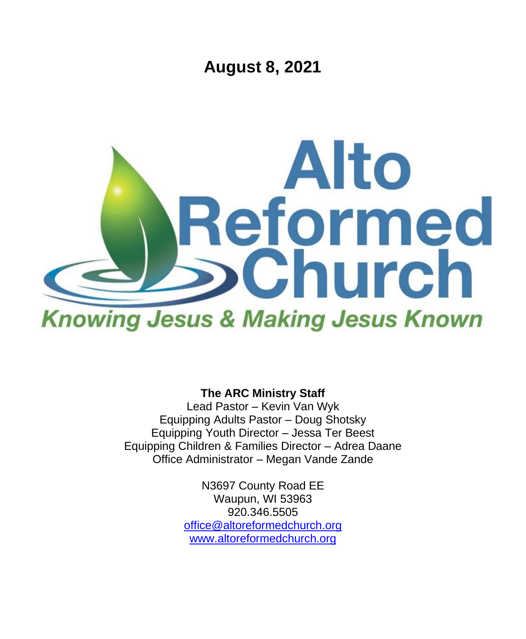**August 8, 2021**



**The ARC Ministry Staff**

Lead Pastor – Kevin Van Wyk Equipping Adults Pastor – Doug Shotsky Equipping Youth Director – Jessa Ter Beest Equipping Children & Families Director – Adrea Daane Office Administrator – Megan Vande Zande

> N3697 County Road EE Waupun, WI 53963 920.346.5505 [office@altoreformedchurch.org](mailto:office@altoreformedchurch.org) [www.altoreformedchurch.org](http://www.altoreformedchurch.org/)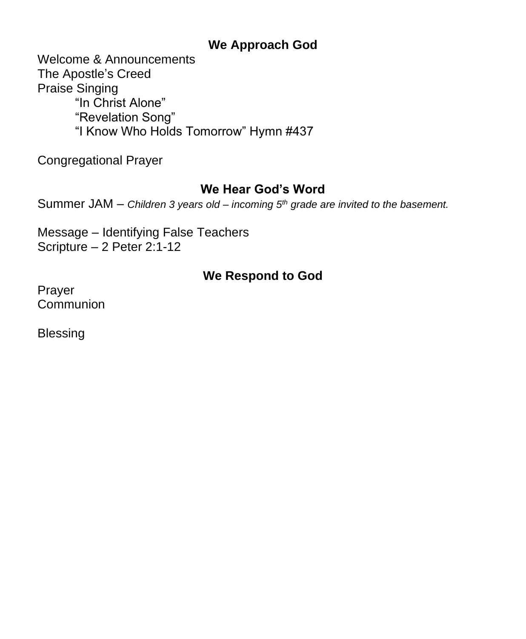### **We Approach God**

Welcome & Announcements The Apostle's Creed Praise Singing "In Christ Alone" "Revelation Song" "I Know Who Holds Tomorrow" Hymn #437

Congregational Prayer

### **We Hear God's Word**

Summer JAM – *Children 3 years old – incoming 5th grade are invited to the basement.*

Message – Identifying False Teachers Scripture – 2 Peter 2:1-12

## **We Respond to God**

Prayer **Communion** 

Blessing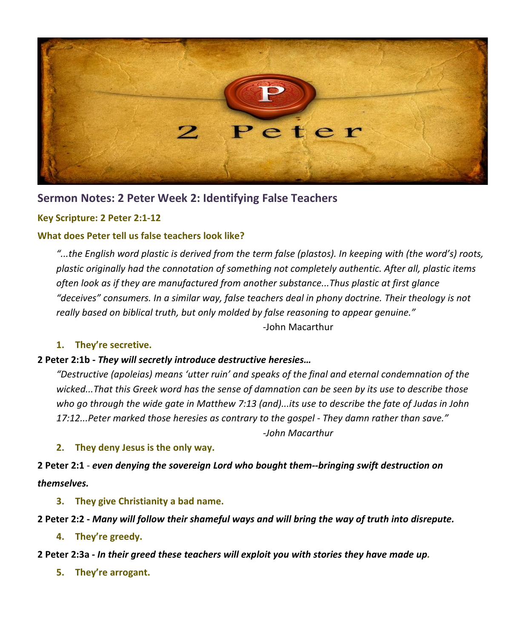

### **Sermon Notes: 2 Peter Week 2: Identifying False Teachers**

#### **Key Scripture: 2 Peter 2:1-12**

#### **What does Peter tell us false teachers look like?**

...the English word plastic is derived from the term false (plastos). In keeping with (the word's) roots, *plastic originally had the connotation of something not completely authentic. After all, plastic items often look as if they are manufactured from another substance...Thus plastic at first glance "deceives" consumers. In a similar way, false teachers deal in phony doctrine. Their theology is not really based on biblical truth, but only molded by false reasoning to appear genuine."*

-John Macarthur

#### **1. They're secretive.**

#### **2 Peter 2:1b -** *They will secretly introduce destructive heresies…*

*"Destructive (apoleias) means 'utter ruin' and speaks of the final and eternal condemnation of the wicked...That this Greek word has the sense of damnation can be seen by its use to describe those* who go through the wide gate in Matthew 7:13 (and)...its use to describe the fate of Judas in John *17:12...Peter marked those heresies as contrary to the gospel - They damn rather than save."*

*-John Macarthur*

#### **2. They deny Jesus is the only way.**

**2 Peter 2:1** - *even denying the sovereign Lord who bought them--bringing swift destruction on themselves.*

**3. They give Christianity a bad name.**

#### 2 Peter 2:2 - Many will follow their shameful ways and will bring the way of truth into disrepute.

**4. They're greedy.**

- **2 Peter 2:3a -** *In their greed these teachers will exploit you with stories they have made up.*
	- **5. They're arrogant.**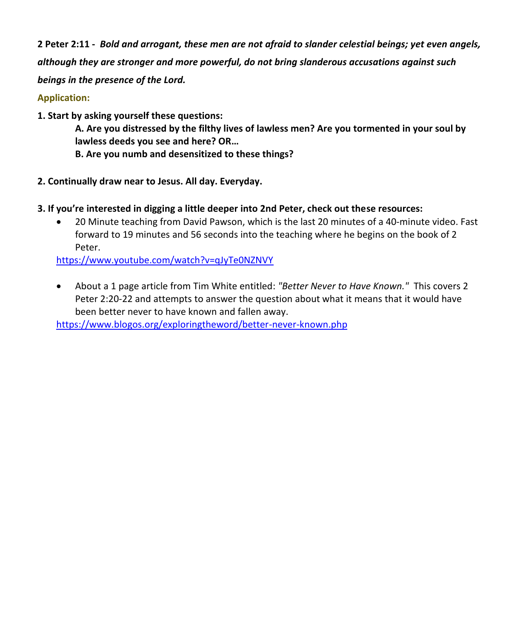2 Peter 2:11 - Bold and arrogant, these men are not afraid to slander celestial beings; yet even angels, *although they are stronger and more powerful, do not bring slanderous accusations against such beings in the presence of the Lord.*

#### **Application:**

**1. Start by asking yourself these questions:**

**A. Are you distressed by the filthy lives of lawless men? Are you tormented in your soul by lawless deeds you see and here? OR…**

- **B. Are you numb and desensitized to these things?**
- **2. Continually draw near to Jesus. All day. Everyday.**
- **3. If you're interested in digging a little deeper into 2nd Peter, check out these resources:**
	- 20 Minute teaching from David Pawson, which is the last 20 minutes of a 40-minute video. Fast forward to 19 minutes and 56 seconds into the teaching where he begins on the book of 2 Peter.

<https://www.youtube.com/watch?v=qJyTe0NZNVY>

• About a 1 page article from Tim White entitled: *"Better Never to Have Known."* This covers 2 Peter 2:20-22 and attempts to answer the question about what it means that it would have been better never to have known and fallen away.

<https://www.blogos.org/exploringtheword/better-never-known.php>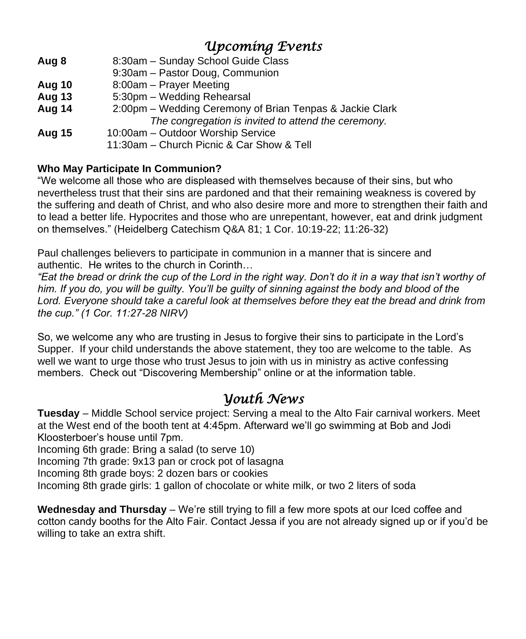# *Upcoming Events*

- **Aug 8** 8:30am Sunday School Guide Class 9:30am – Pastor Doug, Communion **Aug 10** 8:00am – Prayer Meeting **Aug 13** 5:30pm – Wedding Rehearsal **Aug 14** 2:00pm – Wedding Ceremony of Brian Tenpas & Jackie Clark *The congregation is invited to attend the ceremony.* **Aug 15** 10:00am – Outdoor Worship Service
	- 11:30am Church Picnic & Car Show & Tell

### **Who May Participate In Communion?**

"We welcome all those who are displeased with themselves because of their sins, but who nevertheless trust that their sins are pardoned and that their remaining weakness is covered by the suffering and death of Christ, and who also desire more and more to strengthen their faith and to lead a better life. Hypocrites and those who are unrepentant, however, eat and drink judgment on themselves." (Heidelberg Catechism Q&A 81; 1 Cor. 10:19-22; 11:26-32)

Paul challenges believers to participate in communion in a manner that is sincere and authentic. He writes to the church in Corinth…

*"Eat the bread or drink the cup of the Lord in the right way. Don't do it in a way that isn't worthy of him. If you do, you will be guilty. You'll be guilty of sinning against the body and blood of the Lord. Everyone should take a careful look at themselves before they eat the bread and drink from the cup." (1 Cor. 11:27-28 NIRV)*

So, we welcome any who are trusting in Jesus to forgive their sins to participate in the Lord's Supper. If your child understands the above statement, they too are welcome to the table. As well we want to urge those who trust Jesus to join with us in ministry as active confessing members. Check out "Discovering Membership" online or at the information table.

## *Youth News*

**Tuesday** – Middle School service project: Serving a meal to the Alto Fair carnival workers. Meet at the West end of the booth tent at 4:45pm. Afterward we'll go swimming at Bob and Jodi Kloosterboer's house until 7pm.

Incoming 6th grade: Bring a salad (to serve 10)

Incoming 7th grade: 9x13 pan or crock pot of lasagna

Incoming 8th grade boys: 2 dozen bars or cookies

Incoming 8th grade girls: 1 gallon of chocolate or white milk, or two 2 liters of soda

**Wednesday and Thursday** – We're still trying to fill a few more spots at our Iced coffee and cotton candy booths for the Alto Fair. Contact Jessa if you are not already signed up or if you'd be willing to take an extra shift.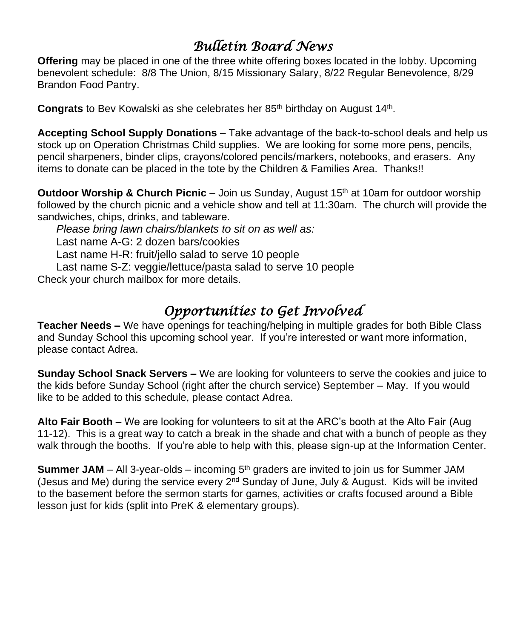# *Bulletin Board News*

**Offering** may be placed in one of the three white offering boxes located in the lobby. Upcoming benevolent schedule: 8/8 The Union, 8/15 Missionary Salary, 8/22 Regular Benevolence, 8/29 Brandon Food Pantry.

Congrats to Bev Kowalski as she celebrates her 85<sup>th</sup> birthday on August 14<sup>th</sup>.

**Accepting School Supply Donations** – Take advantage of the back-to-school deals and help us stock up on Operation Christmas Child supplies. We are looking for some more pens, pencils, pencil sharpeners, binder clips, crayons/colored pencils/markers, notebooks, and erasers. Any items to donate can be placed in the tote by the Children & Families Area. Thanks!!

**Outdoor Worship & Church Picnic –** Join us Sunday, August 15<sup>th</sup> at 10am for outdoor worship followed by the church picnic and a vehicle show and tell at 11:30am.The church will provide the sandwiches, chips, drinks, and tableware.

*Please bring lawn chairs/blankets to sit on as well as:* Last name A-G: 2 dozen bars/cookies Last name H-R: fruit/jello salad to serve 10 people Last name S-Z: veggie/lettuce/pasta salad to serve 10 people

Check your church mailbox for more details.

# *Opportunities to Get Involved*

**Teacher Needs –** We have openings for teaching/helping in multiple grades for both Bible Class and Sunday School this upcoming school year. If you're interested or want more information, please contact Adrea.

**Sunday School Snack Servers –** We are looking for volunteers to serve the cookies and juice to the kids before Sunday School (right after the church service) September – May. If you would like to be added to this schedule, please contact Adrea.

**Alto Fair Booth –** We are looking for volunteers to sit at the ARC's booth at the Alto Fair (Aug 11-12). This is a great way to catch a break in the shade and chat with a bunch of people as they walk through the booths. If you're able to help with this, please sign-up at the Information Center.

**Summer JAM** – All 3-year-olds – incoming  $5<sup>th</sup>$  graders are invited to join us for Summer JAM (Jesus and Me) during the service every 2<sup>nd</sup> Sunday of June, July & August. Kids will be invited to the basement before the sermon starts for games, activities or crafts focused around a Bible lesson just for kids (split into PreK & elementary groups).